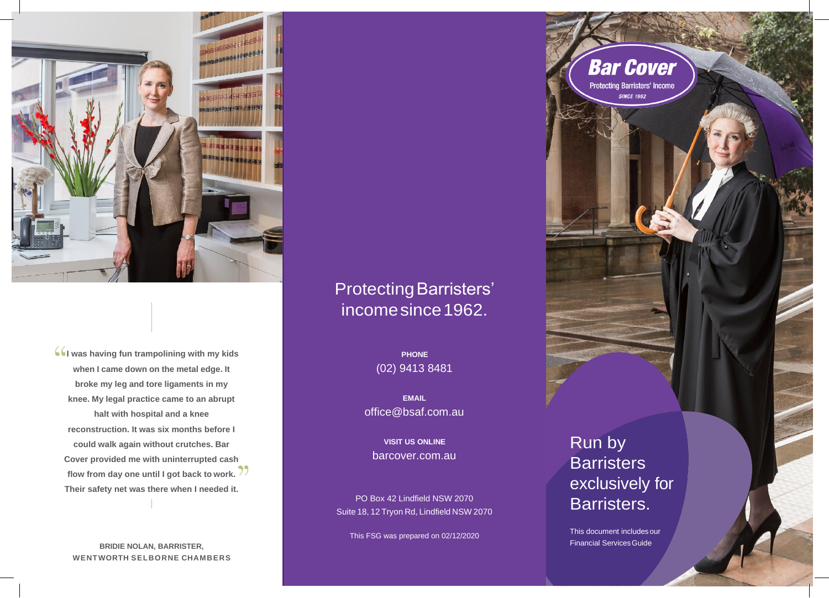

**I was having fun trampolining with my kids when I came down on the metal edge. It broke my leg and tore ligaments in my knee. My legal practice came to an abrupt halt with hospital and a knee reconstruction. It was six months before I could walk again without crutches. Bar Cover provided me with uninterrupted cash flow from day one until I got back to work. Their safety net was there when I needed it.**

**BRIDIE NOLAN, BARRISTER, WENTWORTH SELBORNE CHAMBERS**

# Protecting Barristers' incomesince1962.

**PHONE**  (02) 9413 8481

**EMAIL** [office@bsaf.com.au](mailto:office@bsaf.com.au)

**VISIT US ONLINE**  barcover.com.au

PO Box 42 Lindfield NSW 2070 Suite 18, 12 Tryon Rd, Lindfield NSW 2070

This FSG was prepared on 02/12/2020

Run by **Barristers** exclusively for Barristers.

**Bar Cover Protecting Barristers' Income** SINCE 1962

This document includes our **Financial Services Guide**